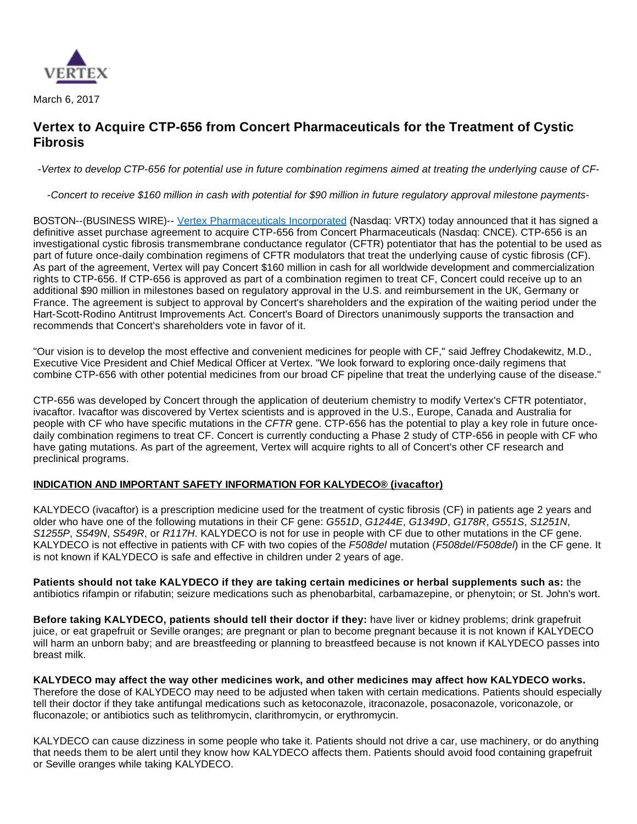

March 6, 2017

# **Vertex to Acquire CTP-656 from Concert Pharmaceuticals for the Treatment of Cystic Fibrosis**

-Vertex to develop CTP-656 for potential use in future combination regimens aimed at treating the underlying cause of CF-

-Concert to receive \$160 million in cash with potential for \$90 million in future regulatory approval milestone payments-

BOSTON--(BUSINESS WIRE)-- [Vertex Pharmaceuticals Incorporated](http://cts.businesswire.com/ct/CT?id=smartlink&url=http%3A%2F%2Fwww.vrtx.com&esheet=51520602&newsitemid=20170306005367&lan=en-US&anchor=Vertex+Pharmaceuticals+Incorporated&index=1&md5=b4a1036436d97e21907b1ffd9af70143) (Nasdaq: VRTX) today announced that it has signed a definitive asset purchase agreement to acquire CTP-656 from Concert Pharmaceuticals (Nasdaq: CNCE). CTP-656 is an investigational cystic fibrosis transmembrane conductance regulator (CFTR) potentiator that has the potential to be used as part of future once-daily combination regimens of CFTR modulators that treat the underlying cause of cystic fibrosis (CF). As part of the agreement, Vertex will pay Concert \$160 million in cash for all worldwide development and commercialization rights to CTP-656. If CTP-656 is approved as part of a combination regimen to treat CF, Concert could receive up to an additional \$90 million in milestones based on regulatory approval in the U.S. and reimbursement in the UK, Germany or France. The agreement is subject to approval by Concert's shareholders and the expiration of the waiting period under the Hart-Scott-Rodino Antitrust Improvements Act. Concert's Board of Directors unanimously supports the transaction and recommends that Concert's shareholders vote in favor of it.

"Our vision is to develop the most effective and convenient medicines for people with CF," said Jeffrey Chodakewitz, M.D., Executive Vice President and Chief Medical Officer at Vertex. "We look forward to exploring once-daily regimens that combine CTP-656 with other potential medicines from our broad CF pipeline that treat the underlying cause of the disease."

CTP-656 was developed by Concert through the application of deuterium chemistry to modify Vertex's CFTR potentiator, ivacaftor. Ivacaftor was discovered by Vertex scientists and is approved in the U.S., Europe, Canada and Australia for people with CF who have specific mutations in the CFTR gene. CTP-656 has the potential to play a key role in future oncedaily combination regimens to treat CF. Concert is currently conducting a Phase 2 study of CTP-656 in people with CF who have gating mutations. As part of the agreement, Vertex will acquire rights to all of Concert's other CF research and preclinical programs.

## **INDICATION AND IMPORTANT SAFETY INFORMATION FOR KALYDECO® (ivacaftor)**

KALYDECO (ivacaftor) is a prescription medicine used for the treatment of cystic fibrosis (CF) in patients age 2 years and older who have one of the following mutations in their CF gene: G551D, G1244E, G1349D, G178R, G551S, S1251N, S1255P, S549N, S549R, or R117H. KALYDECO is not for use in people with CF due to other mutations in the CF gene. KALYDECO is not effective in patients with CF with two copies of the F508del mutation (F508del/F508del) in the CF gene. It is not known if KALYDECO is safe and effective in children under 2 years of age.

**Patients should not take KALYDECO if they are taking certain medicines or herbal supplements such as:** the antibiotics rifampin or rifabutin; seizure medications such as phenobarbital, carbamazepine, or phenytoin; or St. John's wort.

**Before taking KALYDECO, patients should tell their doctor if they:** have liver or kidney problems; drink grapefruit juice, or eat grapefruit or Seville oranges; are pregnant or plan to become pregnant because it is not known if KALYDECO will harm an unborn baby; and are breastfeeding or planning to breastfeed because is not known if KALYDECO passes into breast milk.

**KALYDECO may affect the way other medicines work, and other medicines may affect how KALYDECO works.** Therefore the dose of KALYDECO may need to be adjusted when taken with certain medications. Patients should especially tell their doctor if they take antifungal medications such as ketoconazole, itraconazole, posaconazole, voriconazole, or fluconazole; or antibiotics such as telithromycin, clarithromycin, or erythromycin.

KALYDECO can cause dizziness in some people who take it. Patients should not drive a car, use machinery, or do anything that needs them to be alert until they know how KALYDECO affects them. Patients should avoid food containing grapefruit or Seville oranges while taking KALYDECO.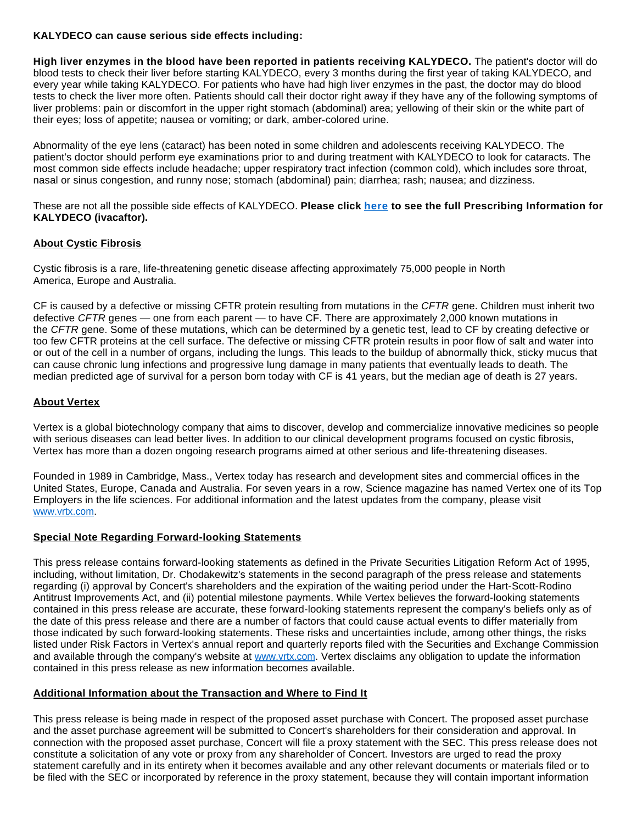#### **KALYDECO can cause serious side effects including:**

**High liver enzymes in the blood have been reported in patients receiving KALYDECO.** The patient's doctor will do blood tests to check their liver before starting KALYDECO, every 3 months during the first year of taking KALYDECO, and every year while taking KALYDECO. For patients who have had high liver enzymes in the past, the doctor may do blood tests to check the liver more often. Patients should call their doctor right away if they have any of the following symptoms of liver problems: pain or discomfort in the upper right stomach (abdominal) area; yellowing of their skin or the white part of their eyes; loss of appetite; nausea or vomiting; or dark, amber-colored urine.

Abnormality of the eye lens (cataract) has been noted in some children and adolescents receiving KALYDECO. The patient's doctor should perform eye examinations prior to and during treatment with KALYDECO to look for cataracts. The most common side effects include headache; upper respiratory tract infection (common cold), which includes sore throat, nasal or sinus congestion, and runny nose; stomach (abdominal) pain; diarrhea; rash; nausea; and dizziness.

These are not all the possible side effects of KALYDECO. **Please click [here](http://cts.businesswire.com/ct/CT?id=smartlink&url=http%3A%2F%2Fpi.vrtx.com%2Ffiles%2Fuspi_ivacaftor.pdf&esheet=51520602&newsitemid=20170306005367&lan=en-US&anchor=here&index=2&md5=5c78dba4d976157f5a210e01f69fb9cc) to see the full Prescribing Information for KALYDECO (ivacaftor).**

## **About Cystic Fibrosis**

Cystic fibrosis is a rare, life-threatening genetic disease affecting approximately 75,000 people in North America, Europe and Australia.

CF is caused by a defective or missing CFTR protein resulting from mutations in the CFTR gene. Children must inherit two defective CFTR genes — one from each parent — to have CF. There are approximately 2,000 known mutations in the CFTR gene. Some of these mutations, which can be determined by a genetic test, lead to CF by creating defective or too few CFTR proteins at the cell surface. The defective or missing CFTR protein results in poor flow of salt and water into or out of the cell in a number of organs, including the lungs. This leads to the buildup of abnormally thick, sticky mucus that can cause chronic lung infections and progressive lung damage in many patients that eventually leads to death. The median predicted age of survival for a person born today with CF is 41 years, but the median age of death is 27 years.

## **About Vertex**

Vertex is a global biotechnology company that aims to discover, develop and commercialize innovative medicines so people with serious diseases can lead better lives. In addition to our clinical development programs focused on cystic fibrosis, Vertex has more than a dozen ongoing research programs aimed at other serious and life-threatening diseases.

Founded in 1989 in Cambridge, Mass., Vertex today has research and development sites and commercial offices in the United States, Europe, Canada and Australia. For seven years in a row, Science magazine has named Vertex one of its Top Employers in the life sciences. For additional information and the latest updates from the company, please visit [www.vrtx.com](http://cts.businesswire.com/ct/CT?id=smartlink&url=http%3A%2F%2Fwww.vrtx.com&esheet=51520602&newsitemid=20170306005367&lan=en-US&anchor=www.vrtx.com&index=3&md5=20c8848a469b817063eb7d5bb82b3be0).

## **Special Note Regarding Forward-looking Statements**

This press release contains forward-looking statements as defined in the Private Securities Litigation Reform Act of 1995, including, without limitation, Dr. Chodakewitz's statements in the second paragraph of the press release and statements regarding (i) approval by Concert's shareholders and the expiration of the waiting period under the Hart-Scott-Rodino Antitrust Improvements Act, and (ii) potential milestone payments. While Vertex believes the forward-looking statements contained in this press release are accurate, these forward-looking statements represent the company's beliefs only as of the date of this press release and there are a number of factors that could cause actual events to differ materially from those indicated by such forward-looking statements. These risks and uncertainties include, among other things, the risks listed under Risk Factors in Vertex's annual report and quarterly reports filed with the Securities and Exchange Commission and available through the company's website at [www.vrtx.com](http://cts.businesswire.com/ct/CT?id=smartlink&url=http%3A%2F%2Fwww.vrtx.com&esheet=51520602&newsitemid=20170306005367&lan=en-US&anchor=www.vrtx.com&index=4&md5=51d65a0f548984d82823f8ad36bdae32). Vertex disclaims any obligation to update the information contained in this press release as new information becomes available.

## **Additional Information about the Transaction and Where to Find It**

This press release is being made in respect of the proposed asset purchase with Concert. The proposed asset purchase and the asset purchase agreement will be submitted to Concert's shareholders for their consideration and approval. In connection with the proposed asset purchase, Concert will file a proxy statement with the SEC. This press release does not constitute a solicitation of any vote or proxy from any shareholder of Concert. Investors are urged to read the proxy statement carefully and in its entirety when it becomes available and any other relevant documents or materials filed or to be filed with the SEC or incorporated by reference in the proxy statement, because they will contain important information